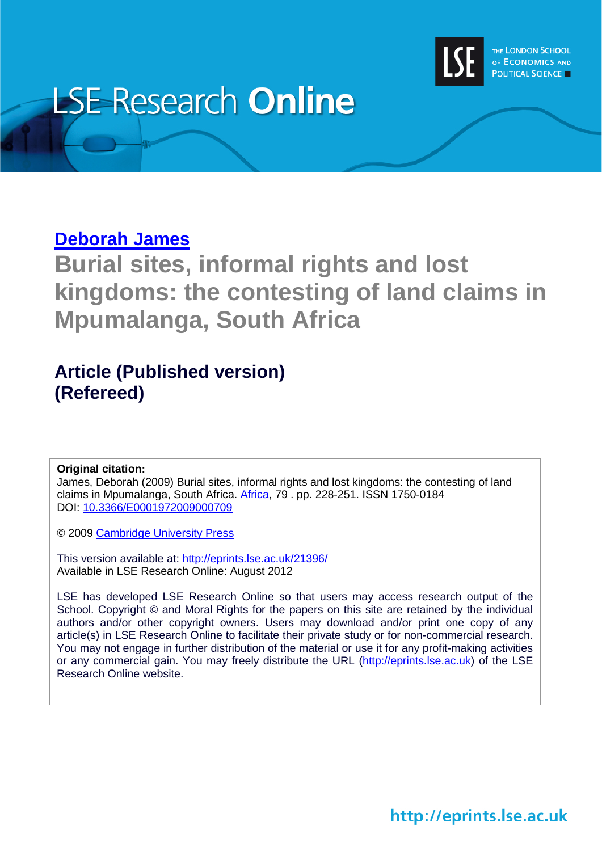

# **LSE Research Online**

# **[Deborah James](http://www2.lse.ac.uk/researchAndExpertise/Experts/profile.aspx?KeyValue=d.a.james@lse.ac.uk)**

**Burial sites, informal rights and lost kingdoms: the contesting of land claims in Mpumalanga, South Africa**

# **Article (Published version) (Refereed)**

**Original citation:**

James, Deborah (2009) Burial sites, informal rights and lost kingdoms: the contesting of land claims in Mpumalanga, South Africa. [Africa,](http://journals.cambridge.org/action/displayJournal?jid=AFR) 79 . pp. 228-251. ISSN 1750-0184 DOI: [10.3366/E0001972009000709](http://dx.doi.org/10.3366/E0001972009000709)

© 2009 [Cambridge University Press](http://www.cambridge.org/)

This version available at:<http://eprints.lse.ac.uk/21396/> Available in LSE Research Online: August 2012

LSE has developed LSE Research Online so that users may access research output of the School. Copyright © and Moral Rights for the papers on this site are retained by the individual authors and/or other copyright owners. Users may download and/or print one copy of any article(s) in LSE Research Online to facilitate their private study or for non-commercial research. You may not engage in further distribution of the material or use it for any profit-making activities or any commercial gain. You may freely distribute the URL (http://eprints.lse.ac.uk) of the LSE Research Online website.

http://eprints.lse.ac.uk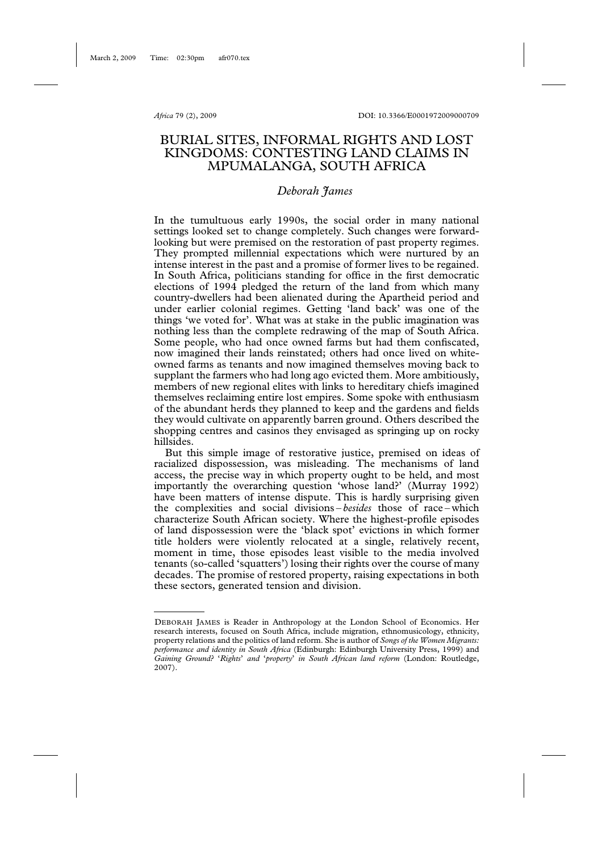## BURIAL SITES, INFORMAL RIGHTS AND LOST KINGDOMS: CONTESTING LAND CLAIMS IN MPUMALANGA, SOUTH AFRICA

### *Deborah James*

In the tumultuous early 1990s, the social order in many national settings looked set to change completely. Such changes were forwardlooking but were premised on the restoration of past property regimes. They prompted millennial expectations which were nurtured by an intense interest in the past and a promise of former lives to be regained. In South Africa, politicians standing for office in the first democratic elections of 1994 pledged the return of the land from which many country-dwellers had been alienated during the Apartheid period and under earlier colonial regimes. Getting 'land back' was one of the things 'we voted for'. What was at stake in the public imagination was nothing less than the complete redrawing of the map of South Africa. Some people, who had once owned farms but had them confiscated, now imagined their lands reinstated; others had once lived on whiteowned farms as tenants and now imagined themselves moving back to supplant the farmers who had long ago evicted them. More ambitiously, members of new regional elites with links to hereditary chiefs imagined themselves reclaiming entire lost empires. Some spoke with enthusiasm of the abundant herds they planned to keep and the gardens and fields they would cultivate on apparently barren ground. Others described the shopping centres and casinos they envisaged as springing up on rocky hillsides.

But this simple image of restorative justice, premised on ideas of racialized dispossession, was misleading. The mechanisms of land access, the precise way in which property ought to be held, and most importantly the overarching question 'whose land?' (Murray 1992) have been matters of intense dispute. This is hardly surprising given the complexities and social divisions – *besides* those of race – which characterize South African society. Where the highest-profile episodes of land dispossession were the 'black spot' evictions in which former title holders were violently relocated at a single, relatively recent, moment in time, those episodes least visible to the media involved tenants (so-called 'squatters') losing their rights over the course of many decades. The promise of restored property, raising expectations in both these sectors, generated tension and division.

DEBORAH JAMES is Reader in Anthropology at the London School of Economics. Her research interests, focused on South Africa, include migration, ethnomusicology, ethnicity, property relations and the politics of land reform. She is author of *Songs of the Women Migrants: performance and identity in South Africa* (Edinburgh: Edinburgh University Press, 1999) and *Gaining Ground?* '*Rights*' *and* '*property*' *in South African land reform* (London: Routledge, 2007).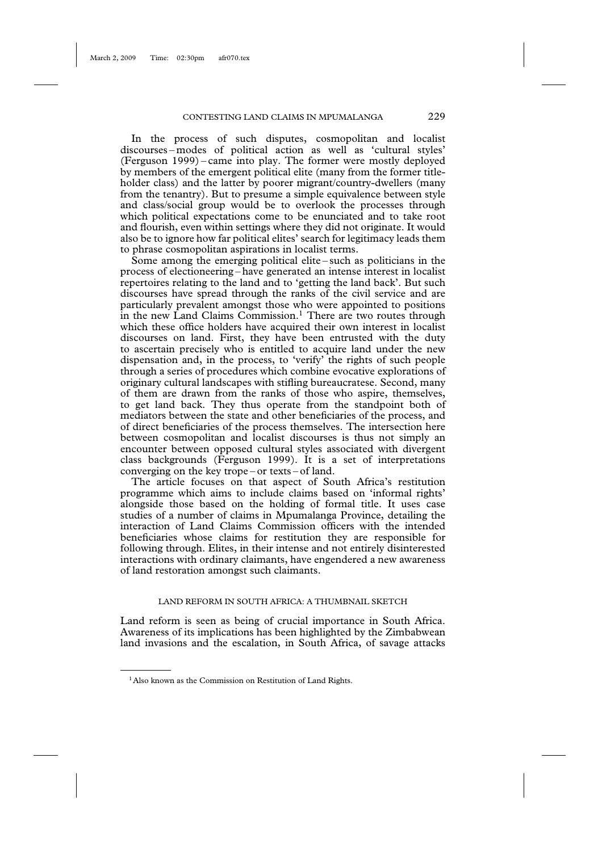In the process of such disputes, cosmopolitan and localist discourses – modes of political action as well as 'cultural styles' (Ferguson 1999) – came into play. The former were mostly deployed by members of the emergent political elite (many from the former titleholder class) and the latter by poorer migrant/country-dwellers (many from the tenantry). But to presume a simple equivalence between style and class/social group would be to overlook the processes through which political expectations come to be enunciated and to take root and flourish, even within settings where they did not originate. It would also be to ignore how far political elites' search for legitimacy leads them to phrase cosmopolitan aspirations in localist terms.

Some among the emerging political elite-such as politicians in the process of electioneering – have generated an intense interest in localist repertoires relating to the land and to 'getting the land back'. But such discourses have spread through the ranks of the civil service and are particularly prevalent amongst those who were appointed to positions in the new Land Claims Commission.<sup>1</sup> There are two routes through which these office holders have acquired their own interest in localist discourses on land. First, they have been entrusted with the duty to ascertain precisely who is entitled to acquire land under the new dispensation and, in the process, to 'verify' the rights of such people through a series of procedures which combine evocative explorations of originary cultural landscapes with stifling bureaucratese. Second, many of them are drawn from the ranks of those who aspire, themselves, to get land back. They thus operate from the standpoint both of mediators between the state and other beneficiaries of the process, and of direct beneficiaries of the process themselves. The intersection here between cosmopolitan and localist discourses is thus not simply an encounter between opposed cultural styles associated with divergent class backgrounds (Ferguson 1999). It is a set of interpretations converging on the key trope – or texts – of land.

The article focuses on that aspect of South Africa's restitution programme which aims to include claims based on 'informal rights' alongside those based on the holding of formal title. It uses case studies of a number of claims in Mpumalanga Province, detailing the interaction of Land Claims Commission officers with the intended beneficiaries whose claims for restitution they are responsible for following through. Elites, in their intense and not entirely disinterested interactions with ordinary claimants, have engendered a new awareness of land restoration amongst such claimants.

#### LAND REFORM IN SOUTH AFRICA: A THUMBNAIL SKETCH

Land reform is seen as being of crucial importance in South Africa. Awareness of its implications has been highlighted by the Zimbabwean land invasions and the escalation, in South Africa, of savage attacks

<sup>&</sup>lt;sup>1</sup> Also known as the Commission on Restitution of Land Rights.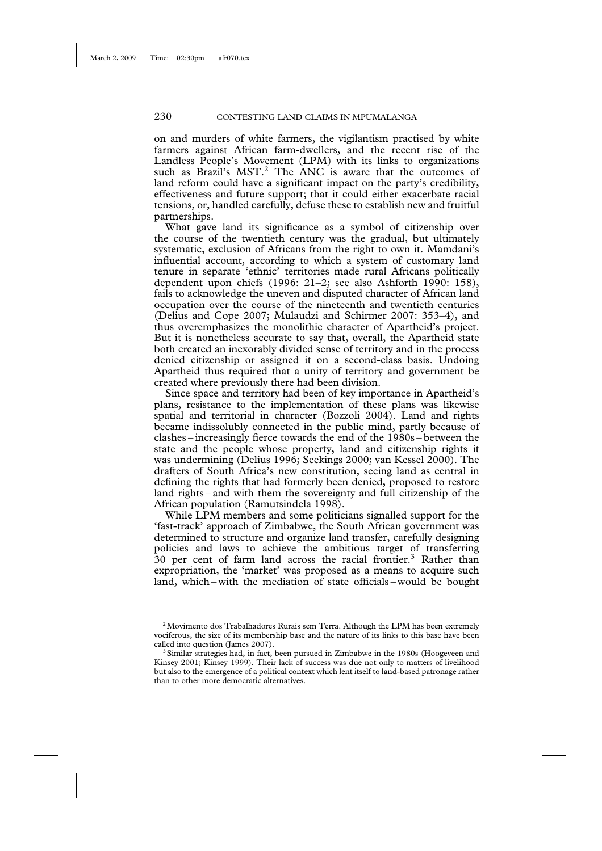on and murders of white farmers, the vigilantism practised by white farmers against African farm-dwellers, and the recent rise of the Landless People's Movement (LPM) with its links to organizations such as Brazil's MST.<sup>2</sup> The ANC is aware that the outcomes of land reform could have a significant impact on the party's credibility, effectiveness and future support; that it could either exacerbate racial tensions, or, handled carefully, defuse these to establish new and fruitful partnerships.

What gave land its significance as a symbol of citizenship over the course of the twentieth century was the gradual, but ultimately systematic, exclusion of Africans from the right to own it. Mamdani's influential account, according to which a system of customary land tenure in separate 'ethnic' territories made rural Africans politically dependent upon chiefs (1996: 21–2; see also Ashforth 1990: 158), fails to acknowledge the uneven and disputed character of African land occupation over the course of the nineteenth and twentieth centuries (Delius and Cope 2007; Mulaudzi and Schirmer 2007: 353–4), and thus overemphasizes the monolithic character of Apartheid's project. But it is nonetheless accurate to say that, overall, the Apartheid state both created an inexorably divided sense of territory and in the process denied citizenship or assigned it on a second-class basis. Undoing Apartheid thus required that a unity of territory and government be created where previously there had been division.

Since space and territory had been of key importance in Apartheid's plans, resistance to the implementation of these plans was likewise spatial and territorial in character (Bozzoli 2004). Land and rights became indissolubly connected in the public mind, partly because of clashes – increasingly fierce towards the end of the 1980s – between the state and the people whose property, land and citizenship rights it was undermining (Delius 1996; Seekings 2000; van Kessel 2000). The drafters of South Africa's new constitution, seeing land as central in defining the rights that had formerly been denied, proposed to restore land rights – and with them the sovereignty and full citizenship of the African population (Ramutsindela 1998).

While LPM members and some politicians signalled support for the 'fast-track' approach of Zimbabwe, the South African government was determined to structure and organize land transfer, carefully designing policies and laws to achieve the ambitious target of transferring 30 per cent of farm land across the racial frontier.<sup>3</sup> Rather than expropriation, the 'market' was proposed as a means to acquire such land, which – with the mediation of state officials – would be bought

 $2$ Movimento dos Trabalhadores Rurais sem Terra. Although the LPM has been extremely vociferous, the size of its membership base and the nature of its links to this base have been called into question (James 2007).

<sup>&</sup>lt;sup>3</sup> Similar strategies had, in fact, been pursued in Zimbabwe in the 1980s (Hoogeveen and Kinsey 2001; Kinsey 1999). Their lack of success was due not only to matters of livelihood but also to the emergence of a political context which lent itself to land-based patronage rather than to other more democratic alternatives.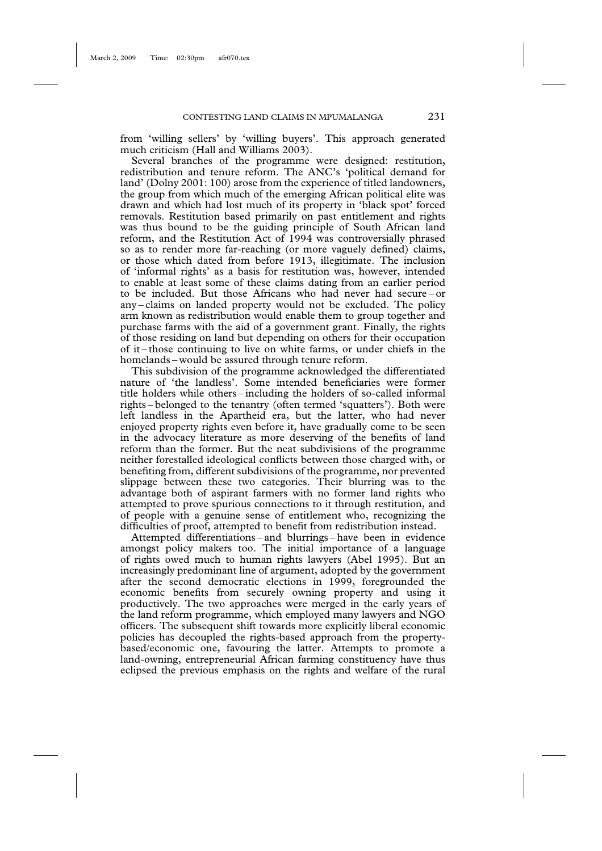from 'willing sellers' by 'willing buyers'. This approach generated much criticism (Hall and Williams 2003).

Several branches of the programme were designed: restitution, redistribution and tenure reform. The ANC's 'political demand for land' (Dolny 2001: 100) arose from the experience of titled landowners, the group from which much of the emerging African political elite was drawn and which had lost much of its property in 'black spot' forced removals. Restitution based primarily on past entitlement and rights was thus bound to be the guiding principle of South African land reform, and the Restitution Act of 1994 was controversially phrased so as to render more far-reaching (or more vaguely defined) claims, or those which dated from before 1913, illegitimate. The inclusion of 'informal rights' as a basis for restitution was, however, intended to enable at least some of these claims dating from an earlier period to be included. But those Africans who had never had secure – or any – claims on landed property would not be excluded. The policy arm known as redistribution would enable them to group together and purchase farms with the aid of a government grant. Finally, the rights of those residing on land but depending on others for their occupation of it – those continuing to live on white farms, or under chiefs in the homelands – would be assured through tenure reform.

This subdivision of the programme acknowledged the differentiated nature of 'the landless'. Some intended beneficiaries were former title holders while others – including the holders of so-called informal rights – belonged to the tenantry (often termed 'squatters'). Both were left landless in the Apartheid era, but the latter, who had never enjoyed property rights even before it, have gradually come to be seen in the advocacy literature as more deserving of the benefits of land reform than the former. But the neat subdivisions of the programme neither forestalled ideological conflicts between those charged with, or benefiting from, different subdivisions of the programme, nor prevented slippage between these two categories. Their blurring was to the advantage both of aspirant farmers with no former land rights who attempted to prove spurious connections to it through restitution, and of people with a genuine sense of entitlement who, recognizing the difficulties of proof, attempted to benefit from redistribution instead.

Attempted differentiations – and blurrings – have been in evidence amongst policy makers too. The initial importance of a language of rights owed much to human rights lawyers (Abel 1995). But an increasingly predominant line of argument, adopted by the government after the second democratic elections in 1999, foregrounded the economic benefits from securely owning property and using it productively. The two approaches were merged in the early years of the land reform programme, which employed many lawyers and NGO officers. The subsequent shift towards more explicitly liberal economic policies has decoupled the rights-based approach from the propertybased/economic one, favouring the latter. Attempts to promote a land-owning, entrepreneurial African farming constituency have thus eclipsed the previous emphasis on the rights and welfare of the rural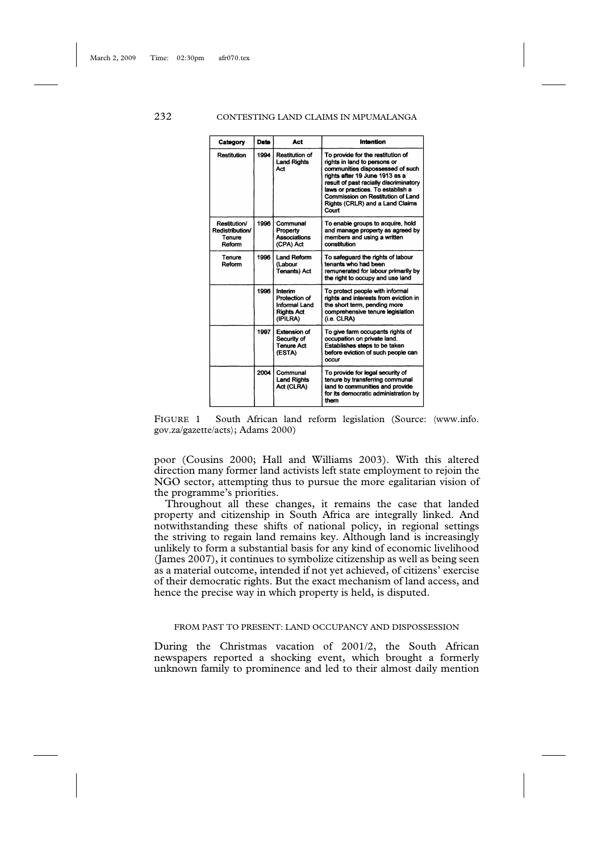| Category                                            | <b>Date</b> | Act                                                                        | <b>Intention</b>                                                                                                                                                                                                                                                                                        |
|-----------------------------------------------------|-------------|----------------------------------------------------------------------------|---------------------------------------------------------------------------------------------------------------------------------------------------------------------------------------------------------------------------------------------------------------------------------------------------------|
| Restitution                                         | 1994        | <b>Restitution of</b><br><b>Land Rights</b><br>Act                         | To provide for the restitution of<br>rights in land to persons or<br>communities dispossessed of such<br>rights after 19 June 1913 as a<br>result of past racially discriminatory<br>laws or practices. To establish a<br>Commission on Restitution of Land<br>Rights (CRLR) and a Land Claims<br>Court |
| Restitution/<br>Redistribution/<br>Tenure<br>Reform | 1996        | Communal<br>Property<br><b>Associations</b><br>(CPA) Act                   | To enable groups to acquire, hold<br>and manage property as agreed by<br>members and using a written<br>constitution                                                                                                                                                                                    |
| Tenure<br>Reform                                    | 1996        | <b>Land Reform</b><br>(Labour<br><b>Tenants) Act</b>                       | To safeguard the rights of labour<br>tenants who had been<br>remunerated for labour primarily by<br>the right to occupy and use land                                                                                                                                                                    |
|                                                     | 1996        | Interim<br>Protection of<br>Informal Land<br><b>Rights Act</b><br>(IPILRA) | To protect people with informal<br>rights and interests from eviction in<br>the short term, pending more<br>comprehensive tenure legislation<br>(i.e. CLRA)                                                                                                                                             |
|                                                     | 1997        | <b>Extension of</b><br>Security of<br><b>Tenure Act</b><br>(ESTA)          | To give farm occupants rights of<br>occupation on private land.<br>Establishes steps to be taken<br>before eviction of such people can<br>occur                                                                                                                                                         |
|                                                     | 2004        | Communal<br>Land Rights<br>Act (CLRA)                                      | To provide for legal security of<br>tenure by transferring communal<br>land to communities and provide<br>for its democratic administration by<br>them                                                                                                                                                  |

FIGURE 1 South African land reform legislation (Source: /www.info. gov.za/gazette/acts); Adams 2000)

poor (Cousins 2000; Hall and Williams 2003). With this altered direction many former land activists left state employment to rejoin the NGO sector, attempting thus to pursue the more egalitarian vision of the programme's priorities.

Throughout all these changes, it remains the case that landed property and citizenship in South Africa are integrally linked. And notwithstanding these shifts of national policy, in regional settings the striving to regain land remains key. Although land is increasingly unlikely to form a substantial basis for any kind of economic livelihood (James 2007), it continues to symbolize citizenship as well as being seen as a material outcome, intended if not yet achieved, of citizens' exercise of their democratic rights. But the exact mechanism of land access, and hence the precise way in which property is held, is disputed.

#### FROM PAST TO PRESENT: LAND OCCUPANCY AND DISPOSSESSION

During the Christmas vacation of 2001/2, the South African newspapers reported a shocking event, which brought a formerly unknown family to prominence and led to their almost daily mention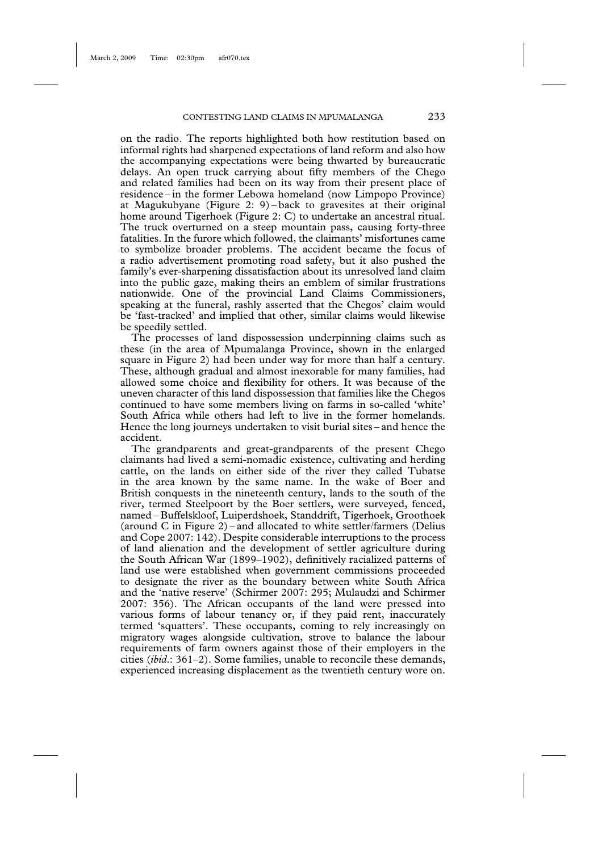on the radio. The reports highlighted both how restitution based on informal rights had sharpened expectations of land reform and also how the accompanying expectations were being thwarted by bureaucratic delays. An open truck carrying about fifty members of the Chego and related families had been on its way from their present place of residence – in the former Lebowa homeland (now Limpopo Province) at Magukubyane (Figure 2: 9) – back to gravesites at their original home around Tigerhoek (Figure 2: C) to undertake an ancestral ritual. The truck overturned on a steep mountain pass, causing forty-three fatalities. In the furore which followed, the claimants' misfortunes came to symbolize broader problems. The accident became the focus of a radio advertisement promoting road safety, but it also pushed the family's ever-sharpening dissatisfaction about its unresolved land claim into the public gaze, making theirs an emblem of similar frustrations nationwide. One of the provincial Land Claims Commissioners, speaking at the funeral, rashly asserted that the Chegos' claim would be 'fast-tracked' and implied that other, similar claims would likewise be speedily settled.

The processes of land dispossession underpinning claims such as these (in the area of Mpumalanga Province, shown in the enlarged square in Figure 2) had been under way for more than half a century. These, although gradual and almost inexorable for many families, had allowed some choice and flexibility for others. It was because of the uneven character of this land dispossession that families like the Chegos continued to have some members living on farms in so-called 'white' South Africa while others had left to live in the former homelands. Hence the long journeys undertaken to visit burial sites – and hence the accident.

The grandparents and great-grandparents of the present Chego claimants had lived a semi-nomadic existence, cultivating and herding cattle, on the lands on either side of the river they called Tubatse in the area known by the same name. In the wake of Boer and British conquests in the nineteenth century, lands to the south of the river, termed Steelpoort by the Boer settlers, were surveyed, fenced, named – Buffelskloof, Luiperdshoek, Standdrift, Tigerhoek, Groothoek (around C in Figure 2) – and allocated to white settler/farmers (Delius and Cope 2007: 142). Despite considerable interruptions to the process of land alienation and the development of settler agriculture during the South African War (1899–1902), definitively racialized patterns of land use were established when government commissions proceeded to designate the river as the boundary between white South Africa and the 'native reserve' (Schirmer 2007: 295; Mulaudzi and Schirmer 2007: 356). The African occupants of the land were pressed into various forms of labour tenancy or, if they paid rent, inaccurately termed 'squatters'. These occupants, coming to rely increasingly on migratory wages alongside cultivation, strove to balance the labour requirements of farm owners against those of their employers in the cities (*ibid*.: 361–2). Some families, unable to reconcile these demands, experienced increasing displacement as the twentieth century wore on.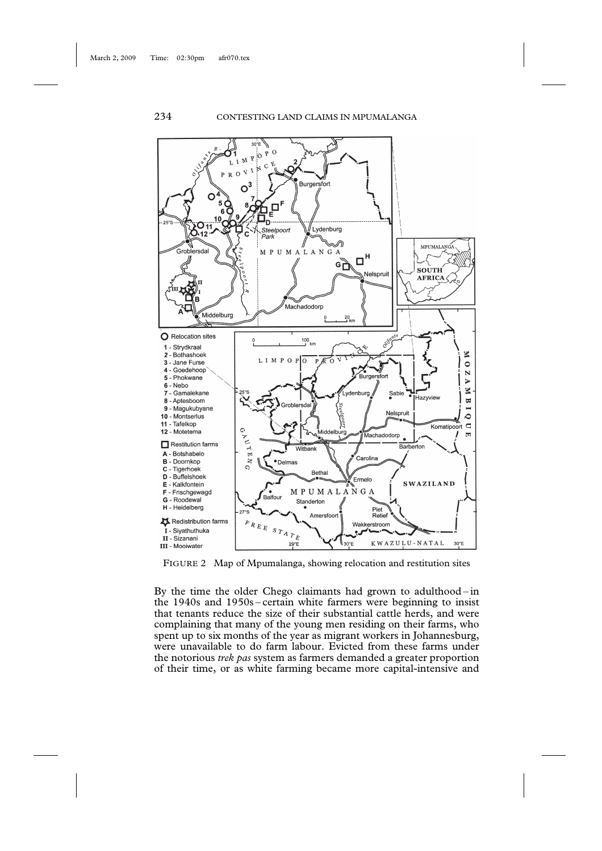

FIGURE 2 Map of Mpumalanga, showing relocation and restitution sites

By the time the older Chego claimants had grown to adulthood – in the 1940s and 1950s – certain white farmers were beginning to insist that tenants reduce the size of their substantial cattle herds, and were complaining that many of the young men residing on their farms, who spent up to six months of the year as migrant workers in Johannesburg, were unavailable to do farm labour. Evicted from these farms under the notorious *trek pas* system as farmers demanded a greater proportion of their time, or as white farming became more capital-intensive and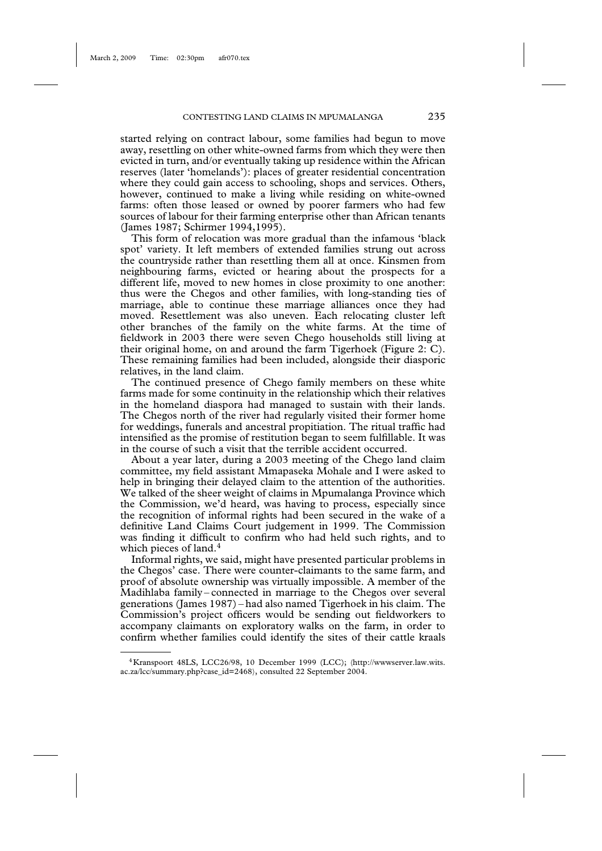started relying on contract labour, some families had begun to move away, resettling on other white-owned farms from which they were then evicted in turn, and/or eventually taking up residence within the African reserves (later 'homelands'): places of greater residential concentration where they could gain access to schooling, shops and services. Others, however, continued to make a living while residing on white-owned farms: often those leased or owned by poorer farmers who had few sources of labour for their farming enterprise other than African tenants (James 1987; Schirmer 1994,1995).

This form of relocation was more gradual than the infamous 'black spot' variety. It left members of extended families strung out across the countryside rather than resettling them all at once. Kinsmen from neighbouring farms, evicted or hearing about the prospects for a different life, moved to new homes in close proximity to one another: thus were the Chegos and other families, with long-standing ties of marriage, able to continue these marriage alliances once they had moved. Resettlement was also uneven. Each relocating cluster left other branches of the family on the white farms. At the time of fieldwork in 2003 there were seven Chego households still living at their original home, on and around the farm Tigerhoek (Figure 2: C). These remaining families had been included, alongside their diasporic relatives, in the land claim.

The continued presence of Chego family members on these white farms made for some continuity in the relationship which their relatives in the homeland diaspora had managed to sustain with their lands. The Chegos north of the river had regularly visited their former home for weddings, funerals and ancestral propitiation. The ritual traffic had intensified as the promise of restitution began to seem fulfillable. It was in the course of such a visit that the terrible accident occurred.

About a year later, during a 2003 meeting of the Chego land claim committee, my field assistant Mmapaseka Mohale and I were asked to help in bringing their delayed claim to the attention of the authorities. We talked of the sheer weight of claims in Mpumalanga Province which the Commission, we'd heard, was having to process, especially since the recognition of informal rights had been secured in the wake of a definitive Land Claims Court judgement in 1999. The Commission was finding it difficult to confirm who had held such rights, and to which pieces of land.<sup>4</sup>

Informal rights, we said, might have presented particular problems in the Chegos' case. There were counter-claimants to the same farm, and proof of absolute ownership was virtually impossible. A member of the Madihlaba family – connected in marriage to the Chegos over several generations (James 1987) – had also named Tigerhoek in his claim. The Commission's project officers would be sending out fieldworkers to accompany claimants on exploratory walks on the farm, in order to confirm whether families could identify the sites of their cattle kraals

<sup>4</sup> Kranspoort 48LS, LCC26/98, 10 December 1999 (LCC); http://wwwserver.law.wits. ac.za/lcc/summary.php?case\_id=2468), consulted 22 September 2004.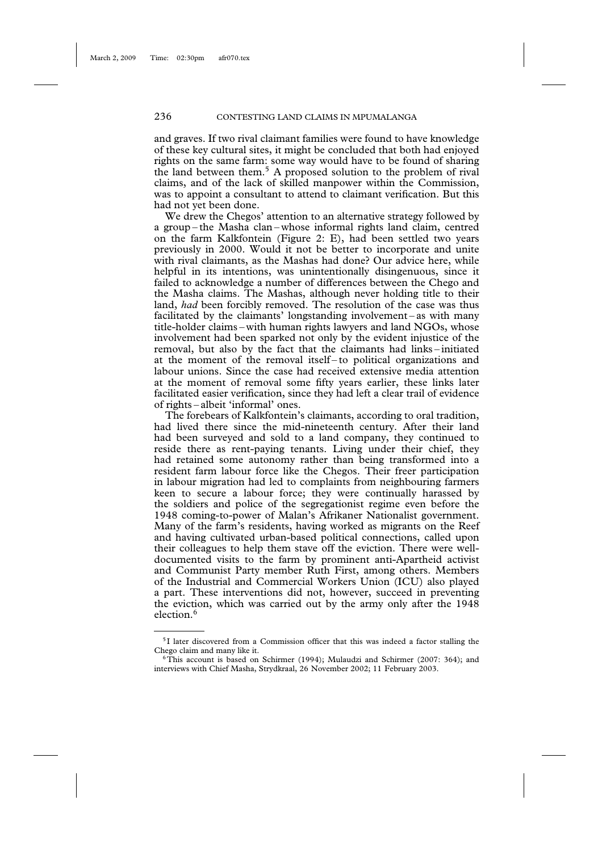and graves. If two rival claimant families were found to have knowledge of these key cultural sites, it might be concluded that both had enjoyed rights on the same farm: some way would have to be found of sharing the land between them.<sup>5</sup> A proposed solution to the problem of rival claims, and of the lack of skilled manpower within the Commission, was to appoint a consultant to attend to claimant verification. But this had not yet been done.

We drew the Chegos' attention to an alternative strategy followed by a group – the Masha clan – whose informal rights land claim, centred on the farm Kalkfontein (Figure 2: E), had been settled two years previously in 2000. Would it not be better to incorporate and unite with rival claimants, as the Mashas had done? Our advice here, while helpful in its intentions, was unintentionally disingenuous, since it failed to acknowledge a number of differences between the Chego and the Masha claims. The Mashas, although never holding title to their land, *had* been forcibly removed. The resolution of the case was thus facilitated by the claimants' longstanding involvement – as with many title-holder claims – with human rights lawyers and land NGOs, whose involvement had been sparked not only by the evident injustice of the removal, but also by the fact that the claimants had links – initiated at the moment of the removal itself – to political organizations and labour unions. Since the case had received extensive media attention at the moment of removal some fifty years earlier, these links later facilitated easier verification, since they had left a clear trail of evidence of rights – albeit 'informal' ones.

The forebears of Kalkfontein's claimants, according to oral tradition, had lived there since the mid-nineteenth century. After their land had been surveyed and sold to a land company, they continued to reside there as rent-paying tenants. Living under their chief, they had retained some autonomy rather than being transformed into a resident farm labour force like the Chegos. Their freer participation in labour migration had led to complaints from neighbouring farmers keen to secure a labour force; they were continually harassed by the soldiers and police of the segregationist regime even before the 1948 coming-to-power of Malan's Afrikaner Nationalist government. Many of the farm's residents, having worked as migrants on the Reef and having cultivated urban-based political connections, called upon their colleagues to help them stave off the eviction. There were welldocumented visits to the farm by prominent anti-Apartheid activist and Communist Party member Ruth First, among others. Members of the Industrial and Commercial Workers Union (ICU) also played a part. These interventions did not, however, succeed in preventing the eviction, which was carried out by the army only after the 1948 election.<sup>6</sup>

<sup>5</sup> I later discovered from a Commission officer that this was indeed a factor stalling the Chego claim and many like it.

<sup>&</sup>lt;sup>6</sup>This account is based on Schirmer (1994); Mulaudzi and Schirmer (2007: 364); and interviews with Chief Masha, Strydkraal, 26 November 2002; 11 February 2003.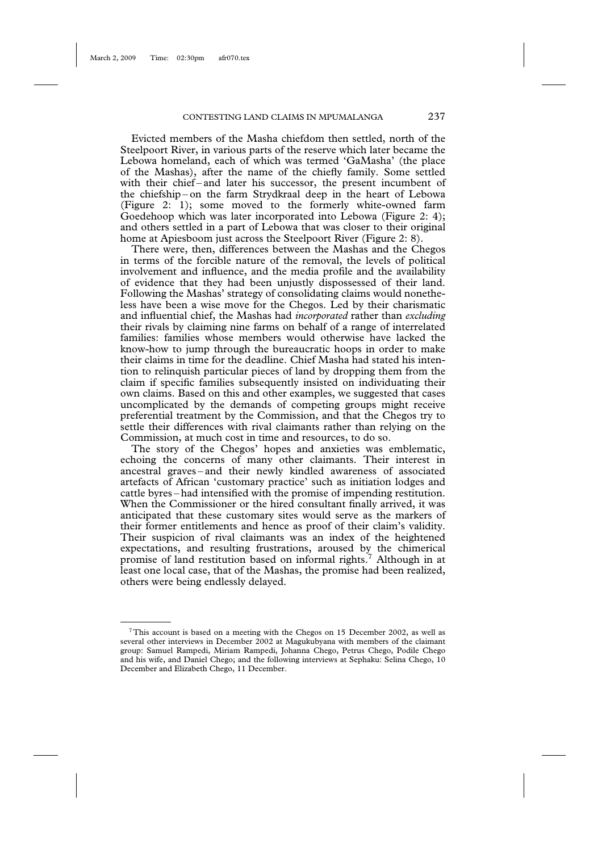Evicted members of the Masha chiefdom then settled, north of the Steelpoort River, in various parts of the reserve which later became the Lebowa homeland, each of which was termed 'GaMasha' (the place of the Mashas), after the name of the chiefly family. Some settled with their chief-and later his successor, the present incumbent of the chiefship – on the farm Strydkraal deep in the heart of Lebowa (Figure 2: 1); some moved to the formerly white-owned farm Goedehoop which was later incorporated into Lebowa (Figure 2: 4); and others settled in a part of Lebowa that was closer to their original home at Apiesboom just across the Steelpoort River (Figure 2: 8).

There were, then, differences between the Mashas and the Chegos in terms of the forcible nature of the removal, the levels of political involvement and influence, and the media profile and the availability of evidence that they had been unjustly dispossessed of their land. Following the Mashas' strategy of consolidating claims would nonetheless have been a wise move for the Chegos. Led by their charismatic and influential chief, the Mashas had *incorporated* rather than *excluding* their rivals by claiming nine farms on behalf of a range of interrelated families: families whose members would otherwise have lacked the know-how to jump through the bureaucratic hoops in order to make their claims in time for the deadline. Chief Masha had stated his intention to relinquish particular pieces of land by dropping them from the claim if specific families subsequently insisted on individuating their own claims. Based on this and other examples, we suggested that cases uncomplicated by the demands of competing groups might receive preferential treatment by the Commission, and that the Chegos try to settle their differences with rival claimants rather than relying on the Commission, at much cost in time and resources, to do so.

The story of the Chegos' hopes and anxieties was emblematic, echoing the concerns of many other claimants. Their interest in ancestral graves – and their newly kindled awareness of associated artefacts of African 'customary practice' such as initiation lodges and cattle byres – had intensified with the promise of impending restitution. When the Commissioner or the hired consultant finally arrived, it was anticipated that these customary sites would serve as the markers of their former entitlements and hence as proof of their claim's validity. Their suspicion of rival claimants was an index of the heightened expectations, and resulting frustrations, aroused by the chimerical promise of land restitution based on informal rights.7 Although in at least one local case, that of the Mashas, the promise had been realized, others were being endlessly delayed.

<sup>&</sup>lt;sup>7</sup>This account is based on a meeting with the Chegos on 15 December 2002, as well as several other interviews in December 2002 at Magukubyana with members of the claimant group: Samuel Rampedi, Miriam Rampedi, Johanna Chego, Petrus Chego, Podile Chego and his wife, and Daniel Chego; and the following interviews at Sephaku: Selina Chego, 10 December and Elizabeth Chego, 11 December.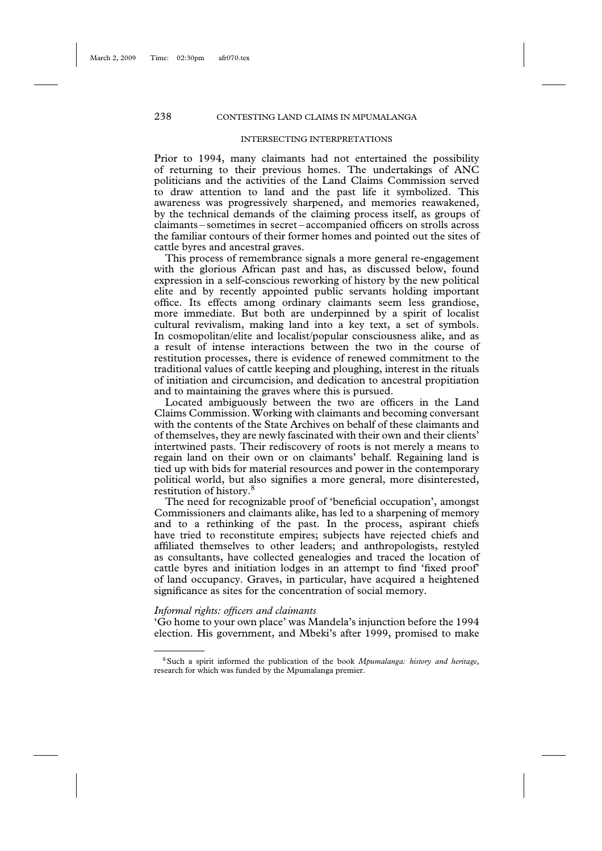#### INTERSECTING INTERPRETATIONS

Prior to 1994, many claimants had not entertained the possibility of returning to their previous homes. The undertakings of ANC politicians and the activities of the Land Claims Commission served to draw attention to land and the past life it symbolized. This awareness was progressively sharpened, and memories reawakened, by the technical demands of the claiming process itself, as groups of claimants – sometimes in secret – accompanied officers on strolls across the familiar contours of their former homes and pointed out the sites of cattle byres and ancestral graves.

This process of remembrance signals a more general re-engagement with the glorious African past and has, as discussed below, found expression in a self-conscious reworking of history by the new political elite and by recently appointed public servants holding important office. Its effects among ordinary claimants seem less grandiose, more immediate. But both are underpinned by a spirit of localist cultural revivalism, making land into a key text, a set of symbols. In cosmopolitan/elite and localist/popular consciousness alike, and as a result of intense interactions between the two in the course of restitution processes, there is evidence of renewed commitment to the traditional values of cattle keeping and ploughing, interest in the rituals of initiation and circumcision, and dedication to ancestral propitiation and to maintaining the graves where this is pursued.

Located ambiguously between the two are officers in the Land Claims Commission. Working with claimants and becoming conversant with the contents of the State Archives on behalf of these claimants and of themselves, they are newly fascinated with their own and their clients' intertwined pasts. Their rediscovery of roots is not merely a means to regain land on their own or on claimants' behalf. Regaining land is tied up with bids for material resources and power in the contemporary political world, but also signifies a more general, more disinterested, restitution of history.8

The need for recognizable proof of 'beneficial occupation', amongst Commissioners and claimants alike, has led to a sharpening of memory and to a rethinking of the past. In the process, aspirant chiefs have tried to reconstitute empires; subjects have rejected chiefs and affiliated themselves to other leaders; and anthropologists, restyled as consultants, have collected genealogies and traced the location of cattle byres and initiation lodges in an attempt to find 'fixed proof' of land occupancy. Graves, in particular, have acquired a heightened significance as sites for the concentration of social memory.

#### *Informal rights: officers and claimants*

'Go home to your own place' was Mandela's injunction before the 1994 election. His government, and Mbeki's after 1999, promised to make

<sup>8</sup>Such a spirit informed the publication of the book *Mpumalanga: history and heritage*, research for which was funded by the Mpumalanga premier.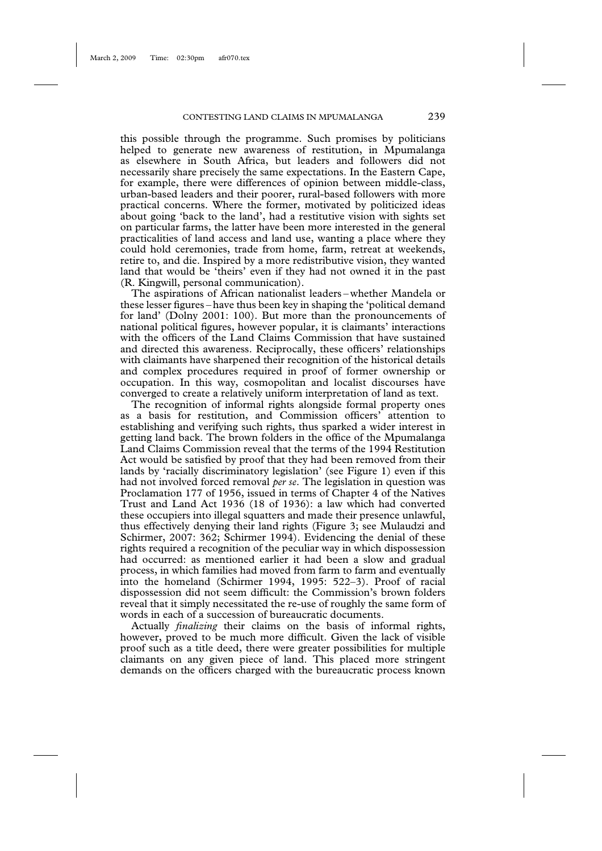this possible through the programme. Such promises by politicians helped to generate new awareness of restitution, in Mpumalanga as elsewhere in South Africa, but leaders and followers did not necessarily share precisely the same expectations. In the Eastern Cape, for example, there were differences of opinion between middle-class, urban-based leaders and their poorer, rural-based followers with more practical concerns. Where the former, motivated by politicized ideas about going 'back to the land', had a restitutive vision with sights set on particular farms, the latter have been more interested in the general practicalities of land access and land use, wanting a place where they could hold ceremonies, trade from home, farm, retreat at weekends, retire to, and die. Inspired by a more redistributive vision, they wanted land that would be 'theirs' even if they had not owned it in the past (R. Kingwill, personal communication).

The aspirations of African nationalist leaders – whether Mandela or these lesser figures – have thus been key in shaping the 'political demand for land' (Dolny 2001: 100). But more than the pronouncements of national political figures, however popular, it is claimants' interactions with the officers of the Land Claims Commission that have sustained and directed this awareness. Reciprocally, these officers' relationships with claimants have sharpened their recognition of the historical details and complex procedures required in proof of former ownership or occupation. In this way, cosmopolitan and localist discourses have converged to create a relatively uniform interpretation of land as text.

The recognition of informal rights alongside formal property ones as a basis for restitution, and Commission officers' attention to establishing and verifying such rights, thus sparked a wider interest in getting land back. The brown folders in the office of the Mpumalanga Land Claims Commission reveal that the terms of the 1994 Restitution Act would be satisfied by proof that they had been removed from their lands by 'racially discriminatory legislation' (see Figure 1) even if this had not involved forced removal *per se*. The legislation in question was Proclamation 177 of 1956, issued in terms of Chapter 4 of the Natives Trust and Land Act 1936 (18 of 1936): a law which had converted these occupiers into illegal squatters and made their presence unlawful, thus effectively denying their land rights (Figure 3; see Mulaudzi and Schirmer, 2007: 362; Schirmer 1994). Evidencing the denial of these rights required a recognition of the peculiar way in which dispossession had occurred: as mentioned earlier it had been a slow and gradual process, in which families had moved from farm to farm and eventually into the homeland (Schirmer 1994, 1995: 522–3). Proof of racial dispossession did not seem difficult: the Commission's brown folders reveal that it simply necessitated the re-use of roughly the same form of words in each of a succession of bureaucratic documents.

Actually *finalizing* their claims on the basis of informal rights, however, proved to be much more difficult. Given the lack of visible proof such as a title deed, there were greater possibilities for multiple claimants on any given piece of land. This placed more stringent demands on the officers charged with the bureaucratic process known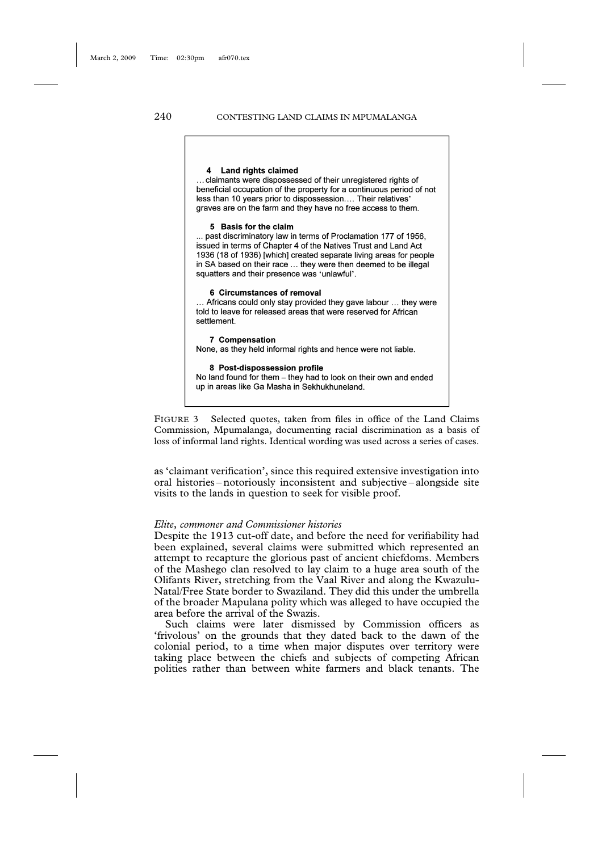#### 4 Land rights claimed

... claimants were dispossessed of their unregistered rights of beneficial occupation of the property for a continuous period of not less than 10 years prior to dispossession.... Their relatives' graves are on the farm and they have no free access to them.

#### 5 Basis for the claim

... past discriminatory law in terms of Proclamation 177 of 1956. issued in terms of Chapter 4 of the Natives Trust and Land Act 1936 (18 of 1936) [which] created separate living areas for people in SA based on their race ... they were then deemed to be illegal squatters and their presence was 'unlawful'.

#### 6 Circumstances of removal

... Africans could only stay provided they gave labour ... they were told to leave for released areas that were reserved for African settlement.

#### 7 Compensation

None, as they held informal rights and hence were not liable.

#### 8 Post-dispossession profile

No land found for them - they had to look on their own and ended up in areas like Ga Masha in Sekhukhuneland.

FIGURE 3 Selected quotes, taken from files in office of the Land Claims Commission, Mpumalanga, documenting racial discrimination as a basis of loss of informal land rights. Identical wording was used across a series of cases.

as 'claimant verification', since this required extensive investigation into oral histories – notoriously inconsistent and subjective – alongside site visits to the lands in question to seek for visible proof.

#### *Elite, commoner and Commissioner histories*

Despite the 1913 cut-off date, and before the need for verifiability had been explained, several claims were submitted which represented an attempt to recapture the glorious past of ancient chiefdoms. Members of the Mashego clan resolved to lay claim to a huge area south of the Olifants River, stretching from the Vaal River and along the Kwazulu-Natal/Free State border to Swaziland. They did this under the umbrella of the broader Mapulana polity which was alleged to have occupied the area before the arrival of the Swazis.

Such claims were later dismissed by Commission officers as 'frivolous' on the grounds that they dated back to the dawn of the colonial period, to a time when major disputes over territory were taking place between the chiefs and subjects of competing African polities rather than between white farmers and black tenants. The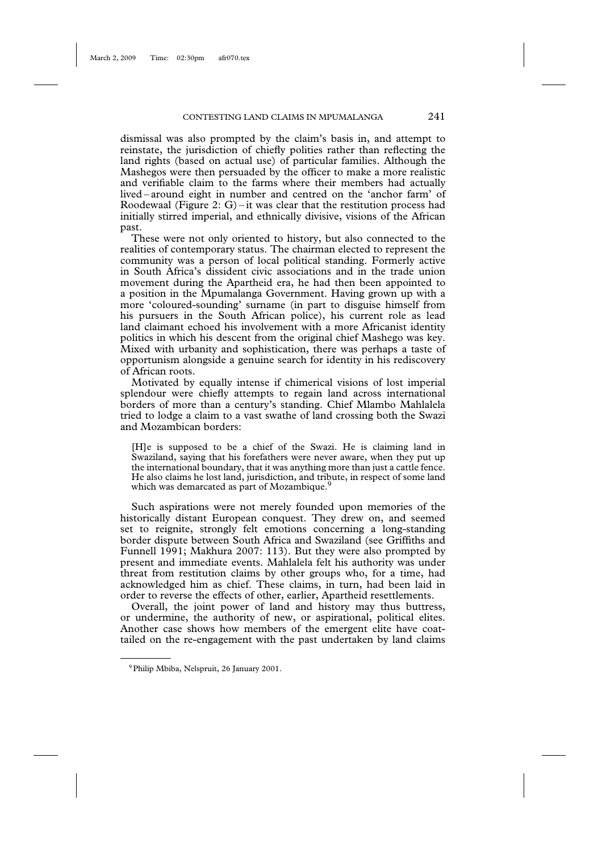dismissal was also prompted by the claim's basis in, and attempt to reinstate, the jurisdiction of chiefly polities rather than reflecting the land rights (based on actual use) of particular families. Although the Mashegos were then persuaded by the officer to make a more realistic and verifiable claim to the farms where their members had actually lived – around eight in number and centred on the 'anchor farm' of Roodewaal (Figure 2:  $G$ ) – it was clear that the restitution process had initially stirred imperial, and ethnically divisive, visions of the African past.

These were not only oriented to history, but also connected to the realities of contemporary status. The chairman elected to represent the community was a person of local political standing. Formerly active in South Africa's dissident civic associations and in the trade union movement during the Apartheid era, he had then been appointed to a position in the Mpumalanga Government. Having grown up with a more 'coloured-sounding' surname (in part to disguise himself from his pursuers in the South African police), his current role as lead land claimant echoed his involvement with a more Africanist identity politics in which his descent from the original chief Mashego was key. Mixed with urbanity and sophistication, there was perhaps a taste of opportunism alongside a genuine search for identity in his rediscovery of African roots.

Motivated by equally intense if chimerical visions of lost imperial splendour were chiefly attempts to regain land across international borders of more than a century's standing. Chief Mlambo Mahlalela tried to lodge a claim to a vast swathe of land crossing both the Swazi and Mozambican borders:

[H]e is supposed to be a chief of the Swazi. He is claiming land in Swaziland, saying that his forefathers were never aware, when they put up the international boundary, that it was anything more than just a cattle fence. He also claims he lost land, jurisdiction, and tribute, in respect of some land which was demarcated as part of Mozambique.<sup>9</sup>

Such aspirations were not merely founded upon memories of the historically distant European conquest. They drew on, and seemed set to reignite, strongly felt emotions concerning a long-standing border dispute between South Africa and Swaziland (see Griffiths and Funnell 1991; Makhura 2007: 113). But they were also prompted by present and immediate events. Mahlalela felt his authority was under threat from restitution claims by other groups who, for a time, had acknowledged him as chief. These claims, in turn, had been laid in order to reverse the effects of other, earlier, Apartheid resettlements.

Overall, the joint power of land and history may thus buttress, or undermine, the authority of new, or aspirational, political elites. Another case shows how members of the emergent elite have coattailed on the re-engagement with the past undertaken by land claims

<sup>&</sup>lt;sup>9</sup> Philip Mbiba, Nelspruit, 26 January 2001.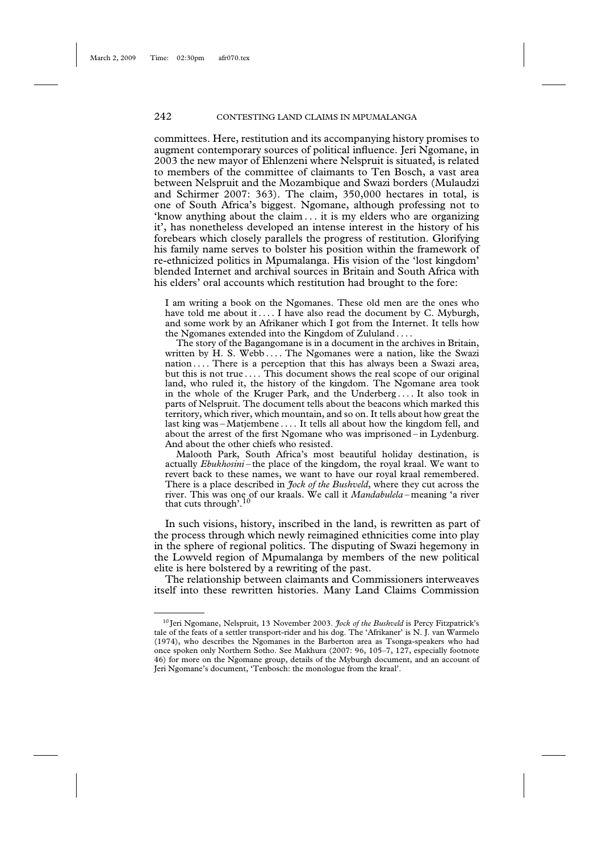committees. Here, restitution and its accompanying history promises to augment contemporary sources of political influence. Jeri Ngomane, in 2003 the new mayor of Ehlenzeni where Nelspruit is situated, is related to members of the committee of claimants to Ten Bosch, a vast area between Nelspruit and the Mozambique and Swazi borders (Mulaudzi and Schirmer 2007: 363). The claim, 350,000 hectares in total, is one of South Africa's biggest. Ngomane, although professing not to 'know anything about the claim . . . it is my elders who are organizing it', has nonetheless developed an intense interest in the history of his forebears which closely parallels the progress of restitution. Glorifying his family name serves to bolster his position within the framework of re-ethnicized politics in Mpumalanga. His vision of the 'lost kingdom' blended Internet and archival sources in Britain and South Africa with his elders' oral accounts which restitution had brought to the fore:

I am writing a book on the Ngomanes. These old men are the ones who have told me about it  $\dots$ . I have also read the document by C. Myburgh, and some work by an Afrikaner which I got from the Internet. It tells how the Ngomanes extended into the Kingdom of Zululand . . . .

The story of the Bagangomane is in a document in the archives in Britain, written by H. S. Webb  $\ldots$ . The Ngomanes were a nation, like the Swazi nation .... There is a perception that this has always been a Swazi area, but this is not true . . . . This document shows the real scope of our original land, who ruled it, the history of the kingdom. The Ngomane area took in the whole of the Kruger Park, and the Underberg .... It also took in parts of Nelspruit. The document tells about the beacons which marked this territory, which river, which mountain, and so on. It tells about how great the last king was –Matjembene . . . . It tells all about how the kingdom fell, and about the arrest of the first Ngomane who was imprisoned – in Lydenburg. And about the other chiefs who resisted.

Malooth Park, South Africa's most beautiful holiday destination, is actually *Ebukhosini –* the place of the kingdom, the royal kraal. We want to revert back to these names, we want to have our royal kraal remembered. There is a place described in *Jock of the Bushveld*, where they cut across the river. This was one of our kraals. We call it *Mandabulela* – meaning 'a river that cuts through'.<sup>10</sup>

In such visions, history, inscribed in the land, is rewritten as part of the process through which newly reimagined ethnicities come into play in the sphere of regional politics. The disputing of Swazi hegemony in the Lowveld region of Mpumalanga by members of the new political elite is here bolstered by a rewriting of the past.

The relationship between claimants and Commissioners interweaves itself into these rewritten histories. Many Land Claims Commission

<sup>&</sup>lt;sup>10</sup> Jeri Ngomane, Nelspruit, 13 November 2003. *Jock of the Bushveld* is Percy Fitzpatrick's tale of the feats of a settler transport-rider and his dog. The 'Afrikaner' is N. J. van Warmelo (1974), who describes the Ngomanes in the Barberton area as Tsonga-speakers who had once spoken only Northern Sotho. See Makhura (2007: 96, 105–7, 127, especially footnote 46) for more on the Ngomane group, details of the Myburgh document, and an account of Jeri Ngomane's document, 'Tenbosch: the monologue from the kraal'.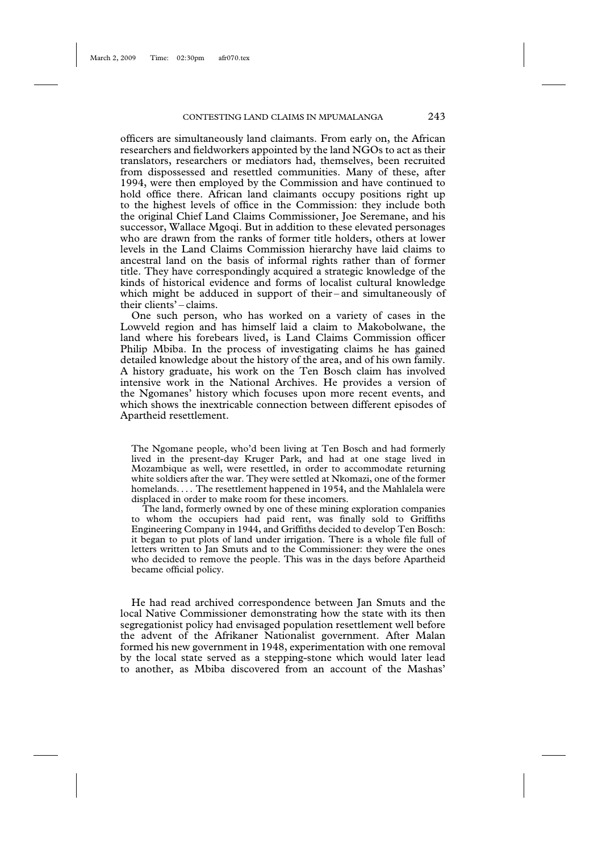officers are simultaneously land claimants. From early on, the African researchers and fieldworkers appointed by the land NGOs to act as their translators, researchers or mediators had, themselves, been recruited from dispossessed and resettled communities. Many of these, after 1994, were then employed by the Commission and have continued to hold office there. African land claimants occupy positions right up to the highest levels of office in the Commission: they include both the original Chief Land Claims Commissioner, Joe Seremane, and his successor, Wallace Mgoqi. But in addition to these elevated personages who are drawn from the ranks of former title holders, others at lower levels in the Land Claims Commission hierarchy have laid claims to ancestral land on the basis of informal rights rather than of former title. They have correspondingly acquired a strategic knowledge of the kinds of historical evidence and forms of localist cultural knowledge which might be adduced in support of their-and simultaneously of their clients' – claims.

One such person, who has worked on a variety of cases in the Lowveld region and has himself laid a claim to Makobolwane, the land where his forebears lived, is Land Claims Commission officer Philip Mbiba. In the process of investigating claims he has gained detailed knowledge about the history of the area, and of his own family. A history graduate, his work on the Ten Bosch claim has involved intensive work in the National Archives. He provides a version of the Ngomanes' history which focuses upon more recent events, and which shows the inextricable connection between different episodes of Apartheid resettlement.

The Ngomane people, who'd been living at Ten Bosch and had formerly lived in the present-day Kruger Park, and had at one stage lived in Mozambique as well, were resettled, in order to accommodate returning white soldiers after the war. They were settled at Nkomazi, one of the former homelands.... The resettlement happened in 1954, and the Mahlalela were displaced in order to make room for these incomers.

The land, formerly owned by one of these mining exploration companies to whom the occupiers had paid rent, was finally sold to Griffiths Engineering Company in 1944, and Griffiths decided to develop Ten Bosch: it began to put plots of land under irrigation. There is a whole file full of letters written to Jan Smuts and to the Commissioner: they were the ones who decided to remove the people. This was in the days before Apartheid became official policy.

He had read archived correspondence between Jan Smuts and the local Native Commissioner demonstrating how the state with its then segregationist policy had envisaged population resettlement well before the advent of the Afrikaner Nationalist government. After Malan formed his new government in 1948, experimentation with one removal by the local state served as a stepping-stone which would later lead to another, as Mbiba discovered from an account of the Mashas'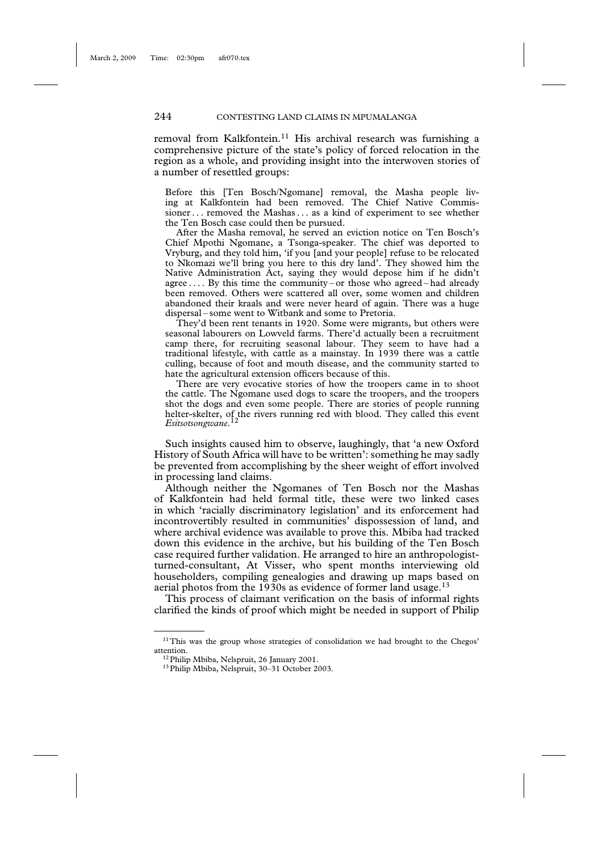removal from Kalkfontein.<sup>11</sup> His archival research was furnishing a comprehensive picture of the state's policy of forced relocation in the region as a whole, and providing insight into the interwoven stories of a number of resettled groups:

Before this [Ten Bosch/Ngomane] removal, the Masha people living at Kalkfontein had been removed. The Chief Native Commissioner . . . removed the Mashas . . . as a kind of experiment to see whether the Ten Bosch case could then be pursued.

After the Masha removal, he served an eviction notice on Ten Bosch's Chief Mpothi Ngomane, a Tsonga-speaker. The chief was deported to Vryburg, and they told him, 'if you [and your people] refuse to be relocated to Nkomazi we'll bring you here to this dry land'. They showed him the Native Administration Act, saying they would depose him if he didn't agree  $\dots$ . By this time the community – or those who agreed – had already been removed. Others were scattered all over, some women and children abandoned their kraals and were never heard of again. There was a huge dispersal – some went to Witbank and some to Pretoria.

They'd been rent tenants in 1920. Some were migrants, but others were seasonal labourers on Lowveld farms. There'd actually been a recruitment camp there, for recruiting seasonal labour. They seem to have had a traditional lifestyle, with cattle as a mainstay. In 1939 there was a cattle culling, because of foot and mouth disease, and the community started to hate the agricultural extension officers because of this.

There are very evocative stories of how the troopers came in to shoot the cattle. The Ngomane used dogs to scare the troopers, and the troopers shot the dogs and even some people. There are stories of people running helter-skelter, of the rivers running red with blood. They called this event<br>Exitentemental <sup>12</sup> *Esitsotsongwane*.

Such insights caused him to observe, laughingly, that 'a new Oxford History of South Africa will have to be written': something he may sadly be prevented from accomplishing by the sheer weight of effort involved in processing land claims.

Although neither the Ngomanes of Ten Bosch nor the Mashas of Kalkfontein had held formal title, these were two linked cases in which 'racially discriminatory legislation' and its enforcement had incontrovertibly resulted in communities' dispossession of land, and where archival evidence was available to prove this. Mbiba had tracked down this evidence in the archive, but his building of the Ten Bosch case required further validation. He arranged to hire an anthropologistturned-consultant, At Visser, who spent months interviewing old householders, compiling genealogies and drawing up maps based on aerial photos from the 1930s as evidence of former land usage. $13$ 

This process of claimant verification on the basis of informal rights clarified the kinds of proof which might be needed in support of Philip

<sup>&</sup>lt;sup>11</sup>This was the group whose strategies of consolidation we had brought to the Chegos' attention.

<sup>12</sup>Philip Mbiba, Nelspruit, 26 January 2001.

<sup>13</sup>Philip Mbiba, Nelspruit, 30–31 October 2003.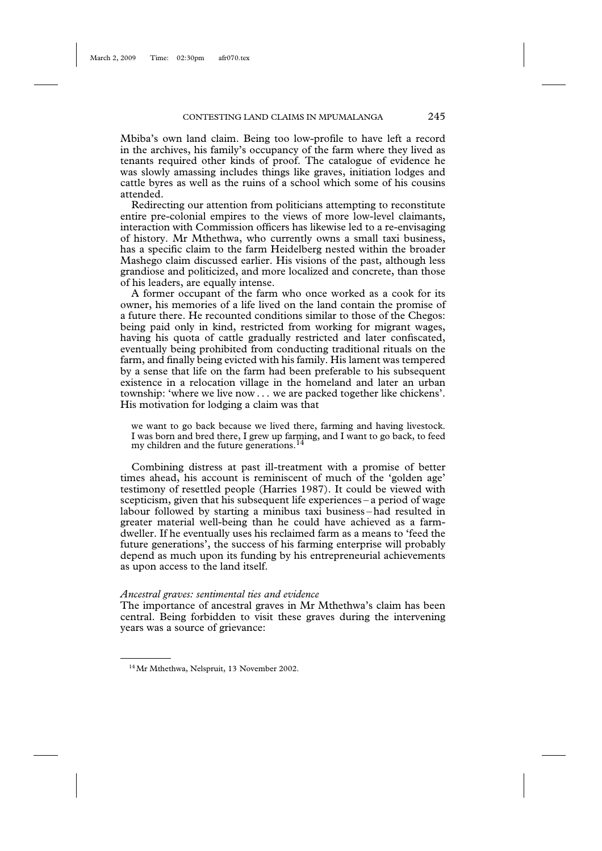Mbiba's own land claim. Being too low-profile to have left a record in the archives, his family's occupancy of the farm where they lived as tenants required other kinds of proof. The catalogue of evidence he was slowly amassing includes things like graves, initiation lodges and cattle byres as well as the ruins of a school which some of his cousins attended.

Redirecting our attention from politicians attempting to reconstitute entire pre-colonial empires to the views of more low-level claimants, interaction with Commission officers has likewise led to a re-envisaging of history. Mr Mthethwa, who currently owns a small taxi business, has a specific claim to the farm Heidelberg nested within the broader Mashego claim discussed earlier. His visions of the past, although less grandiose and politicized, and more localized and concrete, than those of his leaders, are equally intense.

A former occupant of the farm who once worked as a cook for its owner, his memories of a life lived on the land contain the promise of a future there. He recounted conditions similar to those of the Chegos: being paid only in kind, restricted from working for migrant wages, having his quota of cattle gradually restricted and later confiscated, eventually being prohibited from conducting traditional rituals on the farm, and finally being evicted with his family. His lament was tempered by a sense that life on the farm had been preferable to his subsequent existence in a relocation village in the homeland and later an urban township: 'where we live now . . . we are packed together like chickens'. His motivation for lodging a claim was that

we want to go back because we lived there, farming and having livestock. I was born and bred there, I grew up farming, and I want to go back, to feed my children and the future generations.<sup>14</sup>

Combining distress at past ill-treatment with a promise of better times ahead, his account is reminiscent of much of the 'golden age' testimony of resettled people (Harries 1987). It could be viewed with scepticism, given that his subsequent life experiences – a period of wage labour followed by starting a minibus taxi business – had resulted in greater material well-being than he could have achieved as a farmdweller. If he eventually uses his reclaimed farm as a means to 'feed the future generations', the success of his farming enterprise will probably depend as much upon its funding by his entrepreneurial achievements as upon access to the land itself.

#### *Ancestral graves: sentimental ties and evidence*

The importance of ancestral graves in Mr Mthethwa's claim has been central. Being forbidden to visit these graves during the intervening years was a source of grievance:

<sup>&</sup>lt;sup>14</sup>Mr Mthethwa, Nelspruit, 13 November 2002.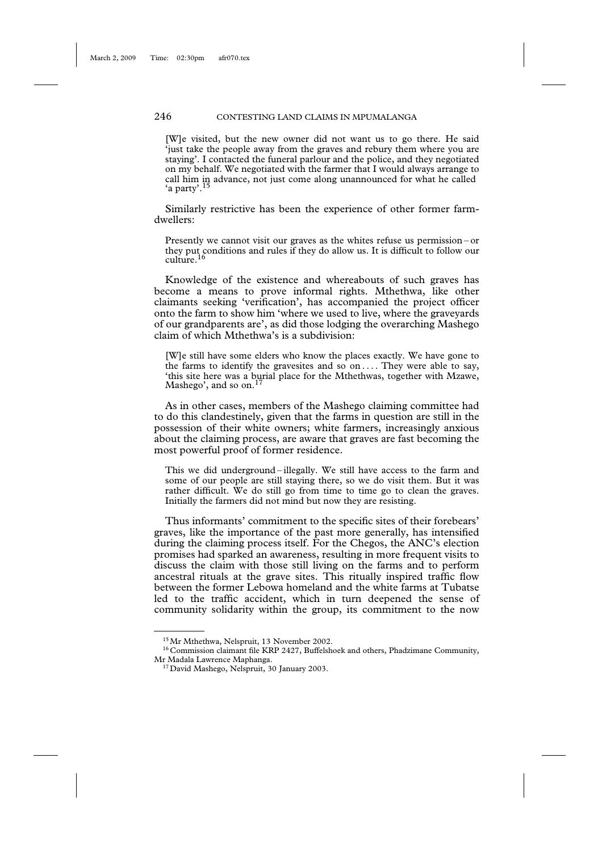[W]e visited, but the new owner did not want us to go there. He said 'just take the people away from the graves and rebury them where you are staying'. I contacted the funeral parlour and the police, and they negotiated on my behalf. We negotiated with the farmer that I would always arrange to call him in advance, not just come along unannounced for what he called 'a party'.

Similarly restrictive has been the experience of other former farmdwellers:

Presently we cannot visit our graves as the whites refuse us permission – or they put conditions and rules if they do allow us. It is difficult to follow our culture.

Knowledge of the existence and whereabouts of such graves has become a means to prove informal rights. Mthethwa, like other claimants seeking 'verification', has accompanied the project officer onto the farm to show him 'where we used to live, where the graveyards of our grandparents are', as did those lodging the overarching Mashego claim of which Mthethwa's is a subdivision:

[W]e still have some elders who know the places exactly. We have gone to the farms to identify the gravesites and so on.... They were able to say, 'this site here was a burial place for the Mthethwas, together with Mzawe, Mashego', and so on.<sup>17</sup>

As in other cases, members of the Mashego claiming committee had to do this clandestinely, given that the farms in question are still in the possession of their white owners; white farmers, increasingly anxious about the claiming process, are aware that graves are fast becoming the most powerful proof of former residence.

This we did underground – illegally. We still have access to the farm and some of our people are still staying there, so we do visit them. But it was rather difficult. We do still go from time to time go to clean the graves. Initially the farmers did not mind but now they are resisting.

Thus informants' commitment to the specific sites of their forebears' graves, like the importance of the past more generally, has intensified during the claiming process itself. For the Chegos, the ANC's election promises had sparked an awareness, resulting in more frequent visits to discuss the claim with those still living on the farms and to perform ancestral rituals at the grave sites. This ritually inspired traffic flow between the former Lebowa homeland and the white farms at Tubatse led to the traffic accident, which in turn deepened the sense of community solidarity within the group, its commitment to the now

<sup>15</sup>Mr Mthethwa, Nelspruit, 13 November 2002.

<sup>&</sup>lt;sup>16</sup> Commission claimant file KRP 2427, Buffelshoek and others, Phadzimane Community, Mr Madala Lawrence Maphanga.

<sup>&</sup>lt;sup>17</sup>David Mashego, Nelspruit, 30 January 2003.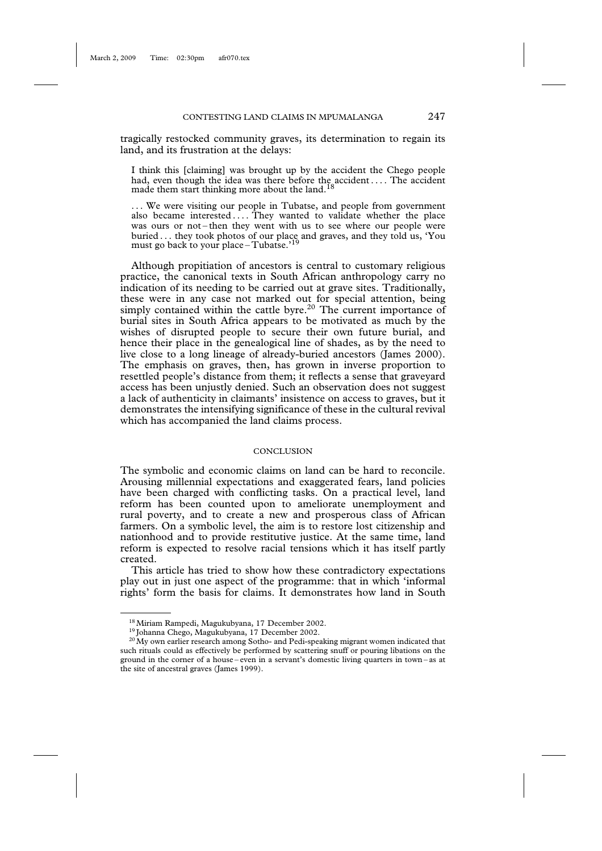tragically restocked community graves, its determination to regain its land, and its frustration at the delays:

I think this [claiming] was brought up by the accident the Chego people had, even though the idea was there before the accident .... The accident made them start thinking more about the land.<sup>18</sup>

... We were visiting our people in Tubatse, and people from government also became interested . . . . They wanted to validate whether the place was ours or not-then they went with us to see where our people were buried . . . they took photos of our place and graves, and they told us, 'You must go back to your place – Tubatse.'<sup>19</sup>

Although propitiation of ancestors is central to customary religious practice, the canonical texts in South African anthropology carry no indication of its needing to be carried out at grave sites. Traditionally, these were in any case not marked out for special attention, being simply contained within the cattle byre.<sup>20</sup> The current importance of burial sites in South Africa appears to be motivated as much by the wishes of disrupted people to secure their own future burial, and hence their place in the genealogical line of shades, as by the need to live close to a long lineage of already-buried ancestors (James 2000). The emphasis on graves, then, has grown in inverse proportion to resettled people's distance from them; it reflects a sense that graveyard access has been unjustly denied. Such an observation does not suggest a lack of authenticity in claimants' insistence on access to graves, but it demonstrates the intensifying significance of these in the cultural revival which has accompanied the land claims process.

#### **CONCLUSION**

The symbolic and economic claims on land can be hard to reconcile. Arousing millennial expectations and exaggerated fears, land policies have been charged with conflicting tasks. On a practical level, land reform has been counted upon to ameliorate unemployment and rural poverty, and to create a new and prosperous class of African farmers. On a symbolic level, the aim is to restore lost citizenship and nationhood and to provide restitutive justice. At the same time, land reform is expected to resolve racial tensions which it has itself partly created.

This article has tried to show how these contradictory expectations play out in just one aspect of the programme: that in which 'informal rights' form the basis for claims. It demonstrates how land in South

<sup>18</sup>Miriam Rampedi, Magukubyana, 17 December 2002.

<sup>&</sup>lt;sup>19</sup> Johanna Chego, Magukubyana, 17 December 2002.

 $^{20}$ My own earlier research among Sotho- and Pedi-speaking migrant women indicated that such rituals could as effectively be performed by scattering snuff or pouring libations on the ground in the corner of a house – even in a servant's domestic living quarters in town – as at the site of ancestral graves (James 1999).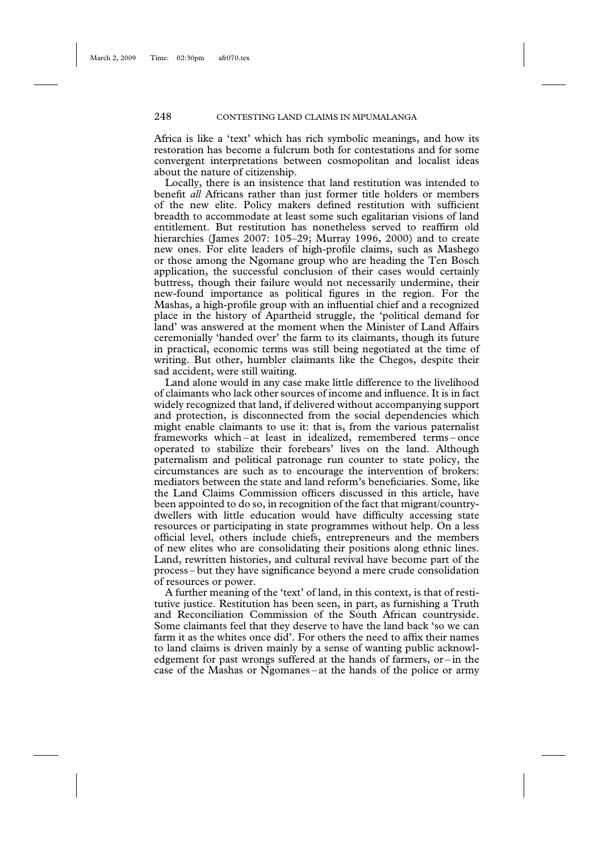Africa is like a 'text' which has rich symbolic meanings, and how its restoration has become a fulcrum both for contestations and for some convergent interpretations between cosmopolitan and localist ideas about the nature of citizenship.

Locally, there is an insistence that land restitution was intended to benefit *all* Africans rather than just former title holders or members of the new elite. Policy makers defined restitution with sufficient breadth to accommodate at least some such egalitarian visions of land entitlement. But restitution has nonetheless served to reaffirm old hierarchies (James 2007: 105–29; Murray 1996, 2000) and to create new ones. For elite leaders of high-profile claims, such as Mashego or those among the Ngomane group who are heading the Ten Bosch application, the successful conclusion of their cases would certainly buttress, though their failure would not necessarily undermine, their new-found importance as political figures in the region. For the Mashas, a high-profile group with an influential chief and a recognized place in the history of Apartheid struggle, the 'political demand for land' was answered at the moment when the Minister of Land Affairs ceremonially 'handed over' the farm to its claimants, though its future in practical, economic terms was still being negotiated at the time of writing. But other, humbler claimants like the Chegos, despite their sad accident, were still waiting.

Land alone would in any case make little difference to the livelihood of claimants who lack other sources of income and influence. It is in fact widely recognized that land, if delivered without accompanying support and protection, is disconnected from the social dependencies which might enable claimants to use it: that is, from the various paternalist frameworks which – at least in idealized, remembered terms – once operated to stabilize their forebears' lives on the land. Although paternalism and political patronage run counter to state policy, the circumstances are such as to encourage the intervention of brokers: mediators between the state and land reform's beneficiaries. Some, like the Land Claims Commission officers discussed in this article, have been appointed to do so, in recognition of the fact that migrant/countrydwellers with little education would have difficulty accessing state resources or participating in state programmes without help. On a less official level, others include chiefs, entrepreneurs and the members of new elites who are consolidating their positions along ethnic lines. Land, rewritten histories, and cultural revival have become part of the process – but they have significance beyond a mere crude consolidation of resources or power.

A further meaning of the 'text' of land, in this context, is that of restitutive justice. Restitution has been seen, in part, as furnishing a Truth and Reconciliation Commission of the South African countryside. Some claimants feel that they deserve to have the land back 'so we can farm it as the whites once did'. For others the need to affix their names to land claims is driven mainly by a sense of wanting public acknowledgement for past wrongs suffered at the hands of farmers,  $or$  – in the case of the Mashas or Ngomanes – at the hands of the police or army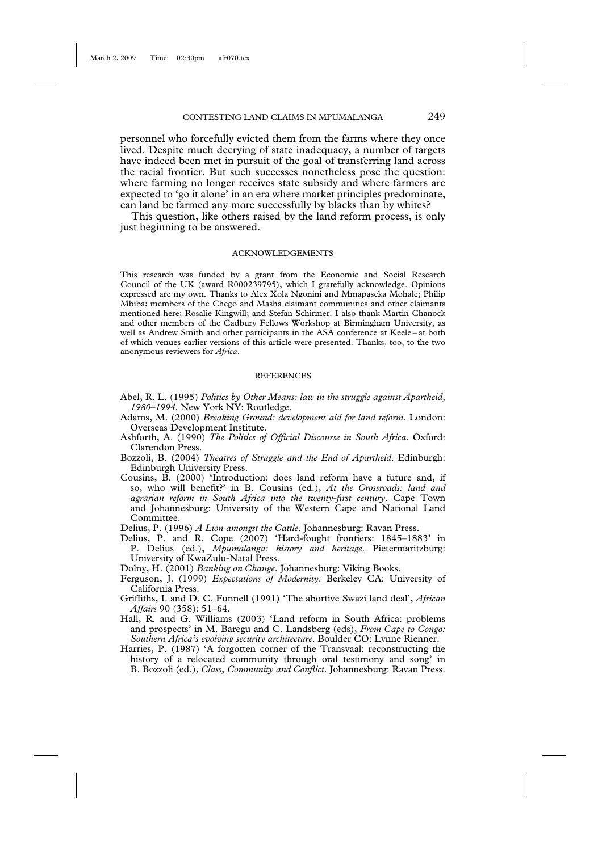personnel who forcefully evicted them from the farms where they once lived. Despite much decrying of state inadequacy, a number of targets have indeed been met in pursuit of the goal of transferring land across the racial frontier. But such successes nonetheless pose the question: where farming no longer receives state subsidy and where farmers are expected to 'go it alone' in an era where market principles predominate, can land be farmed any more successfully by blacks than by whites?

This question, like others raised by the land reform process, is only just beginning to be answered.

#### ACKNOWLEDGEMENTS

This research was funded by a grant from the Economic and Social Research Council of the UK (award R000239795), which I gratefully acknowledge. Opinions expressed are my own. Thanks to Alex Xola Ngonini and Mmapaseka Mohale; Philip Mbiba; members of the Chego and Masha claimant communities and other claimants mentioned here; Rosalie Kingwill; and Stefan Schirmer. I also thank Martin Chanock and other members of the Cadbury Fellows Workshop at Birmingham University, as well as Andrew Smith and other participants in the ASA conference at Keele – at both of which venues earlier versions of this article were presented. Thanks, too, to the two anonymous reviewers for *Africa*.

#### REFERENCES

- Abel, R. L. (1995) *Politics by Other Means: law in the struggle against Apartheid, 1980–1994*. New York NY: Routledge.
- Adams, M. (2000) *Breaking Ground: development aid for land reform*. London: Overseas Development Institute.
- Ashforth, A. (1990) *The Politics of Official Discourse in South Africa*. Oxford: Clarendon Press.
- Bozzoli, B. (2004) *Theatres of Struggle and the End of Apartheid*. Edinburgh: Edinburgh University Press.
- Cousins, B. (2000) 'Introduction: does land reform have a future and, if so, who will benefit?' in B. Cousins (ed.), *At the Crossroads: land and agrarian reform in South Africa into the twenty-first century*. Cape Town and Johannesburg: University of the Western Cape and National Land Committee.
- Delius, P. (1996) *A Lion amongst the Cattle*. Johannesburg: Ravan Press.
- Delius, P. and R. Cope (2007) 'Hard-fought frontiers: 1845–1883' in P. Delius (ed.), *Mpumalanga: history and heritage*. Pietermaritzburg: University of KwaZulu-Natal Press.
- Dolny, H. (2001) *Banking on Change*. Johannesburg: Viking Books.
- Ferguson, J. (1999) *Expectations of Modernity*. Berkeley CA: University of California Press.
- Griffiths, I. and D. C. Funnell (1991) 'The abortive Swazi land deal', *African Affairs* 90 (358): 51–64.
- Hall, R. and G. Williams (2003) 'Land reform in South Africa: problems and prospects' in M. Baregu and C. Landsberg (eds), *From Cape to Congo: Southern Africa's evolving security architecture*. Boulder CO: Lynne Rienner.
- Harries, P. (1987) 'A forgotten corner of the Transvaal: reconstructing the history of a relocated community through oral testimony and song' in B. Bozzoli (ed.), *Class, Community and Conflict*. Johannesburg: Ravan Press.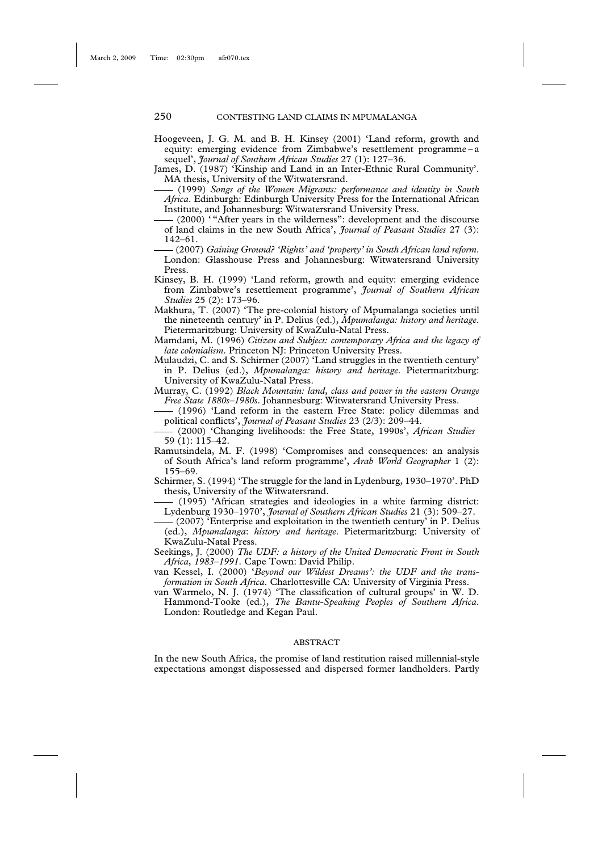Hoogeveen, J. G. M. and B. H. Kinsey (2001) 'Land reform, growth and equity: emerging evidence from Zimbabwe's resettlement programme – a sequel', *Journal of Southern African Studies* 27 (1): 127–36.

James, D. (1987) 'Kinship and Land in an Inter-Ethnic Rural Community'. MA thesis, University of the Witwatersrand.

(1999) *Songs of the Women Migrants: performance and identity in South Africa*. Edinburgh: Edinburgh University Press for the International African Institute, and Johannesburg: Witwatersrand University Press.

(2000) ' "After years in the wilderness": development and the discourse of land claims in the new South Africa', *Journal of Peasant Studies* 27 (3): 142–61.

(2007) *Gaining Ground? 'Rights' and 'property' in South African land reform*. London: Glasshouse Press and Johannesburg: Witwatersrand University Press.

- Kinsey, B. H. (1999) 'Land reform, growth and equity: emerging evidence from Zimbabwe's resettlement programme', *Journal of Southern African Studies* 25 (2): 173–96.
- Makhura, T. (2007) 'The pre-colonial history of Mpumalanga societies until the nineteenth century' in P. Delius (ed.), *Mpumalanga: history and heritage*. Pietermaritzburg: University of KwaZulu-Natal Press.
- Mamdani, M. (1996) *Citizen and Subject: contemporary Africa and the legacy of late colonialism*. Princeton NJ: Princeton University Press.
- Mulaudzi, C. and S. Schirmer (2007) 'Land struggles in the twentieth century' in P. Delius (ed.), *Mpumalanga: history and heritage*. Pietermaritzburg: University of KwaZulu-Natal Press.
- Murray, C. (1992) *Black Mountain: land, class and power in the eastern Orange Free State 1880s–1980s*. Johannesburg: Witwatersrand University Press.

(1996) 'Land reform in the eastern Free State: policy dilemmas and political conflicts', *Journal of Peasant Studies* 23 (2/3): 209–44.

- (2000) 'Changing livelihoods: the Free State, 1990s', *African Studies* 59 (1): 115–42.
- Ramutsindela, M. F. (1998) 'Compromises and consequences: an analysis of South Africa's land reform programme', *Arab World Geographer* 1 (2): 155–69.
- Schirmer, S. (1994) 'The struggle for the land in Lydenburg, 1930–1970'. PhD thesis, University of the Witwatersrand.

 $-$  (1995) 'African strategies and ideologies in a white farming district: Lydenburg 1930–1970', *Journal of Southern African Studies* 21 (3): 509–27.

(2007) 'Enterprise and exploitation in the twentieth century' in P. Delius (ed.), *Mpumalanga*: *history and heritage*. Pietermaritzburg: University of KwaZulu-Natal Press.

Seekings, J. (2000) *The UDF: a history of the United Democratic Front in South Africa, 1983–1991*. Cape Town: David Philip.

- van Kessel, I. (2000) '*Beyond our Wildest Dreams': the UDF and the transformation in South Africa*. Charlottesville CA: University of Virginia Press.
- van Warmelo, N. J. (1974) 'The classification of cultural groups' in W. D. Hammond-Tooke (ed.), *The Bantu-Speaking Peoples of Southern Africa*. London: Routledge and Kegan Paul.

#### ABSTRACT

In the new South Africa, the promise of land restitution raised millennial-style expectations amongst dispossessed and dispersed former landholders. Partly